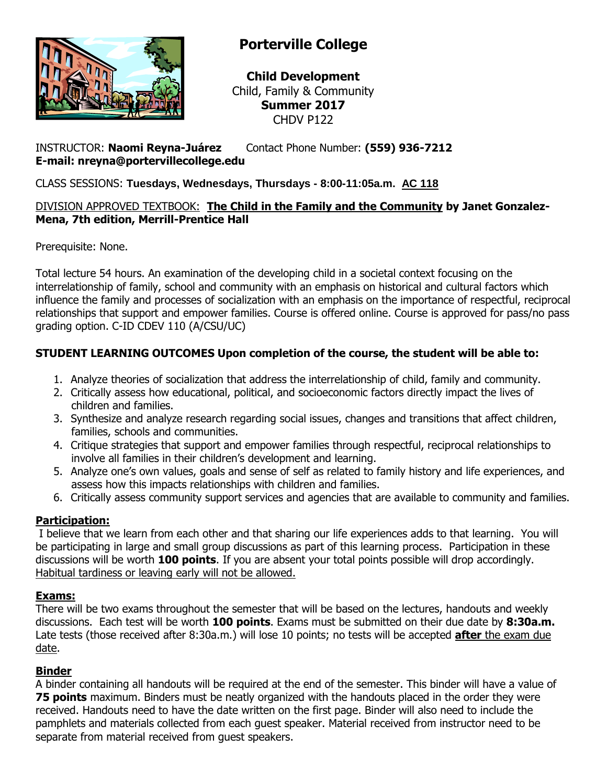

# **Porterville College**

**Child Development** Child, Family & Community **Summer 2017** CHDV P122

### INSTRUCTOR: **Naomi Reyna-Juárez** Contact Phone Number: **(559) 936-7212 E-mail: nreyna@portervillecollege.edu**

CLASS SESSIONS: **Tuesdays, Wednesdays, Thursdays - 8:00-11:05a.m. AC 118**

### DIVISION APPROVED TEXTBOOK: **The Child in the Family and the Community by Janet Gonzalez-Mena, 7th edition, Merrill-Prentice Hall**

Prerequisite: None.

Total lecture 54 hours. An examination of the developing child in a societal context focusing on the interrelationship of family, school and community with an emphasis on historical and cultural factors which influence the family and processes of socialization with an emphasis on the importance of respectful, reciprocal relationships that support and empower families. Course is offered online. Course is approved for pass/no pass grading option. C-ID CDEV 110 (A/CSU/UC)

# **STUDENT LEARNING OUTCOMES Upon completion of the course, the student will be able to:**

- 1. Analyze theories of socialization that address the interrelationship of child, family and community.
- 2. Critically assess how educational, political, and socioeconomic factors directly impact the lives of children and families.
- 3. Synthesize and analyze research regarding social issues, changes and transitions that affect children, families, schools and communities.
- 4. Critique strategies that support and empower families through respectful, reciprocal relationships to involve all families in their children's development and learning.
- 5. Analyze one's own values, goals and sense of self as related to family history and life experiences, and assess how this impacts relationships with children and families.
- 6. Critically assess community support services and agencies that are available to community and families.

# **Participation:**

I believe that we learn from each other and that sharing our life experiences adds to that learning. You will be participating in large and small group discussions as part of this learning process. Participation in these discussions will be worth **100 points**. If you are absent your total points possible will drop accordingly. Habitual tardiness or leaving early will not be allowed.

### **Exams:**

There will be two exams throughout the semester that will be based on the lectures, handouts and weekly discussions. Each test will be worth **100 points**. Exams must be submitted on their due date by **8:30a.m.** Late tests (those received after 8:30a.m.) will lose 10 points; no tests will be accepted **after** the exam due date.

#### **Binder**

A binder containing all handouts will be required at the end of the semester. This binder will have a value of **75 points** maximum. Binders must be neatly organized with the handouts placed in the order they were received. Handouts need to have the date written on the first page. Binder will also need to include the pamphlets and materials collected from each guest speaker. Material received from instructor need to be separate from material received from guest speakers.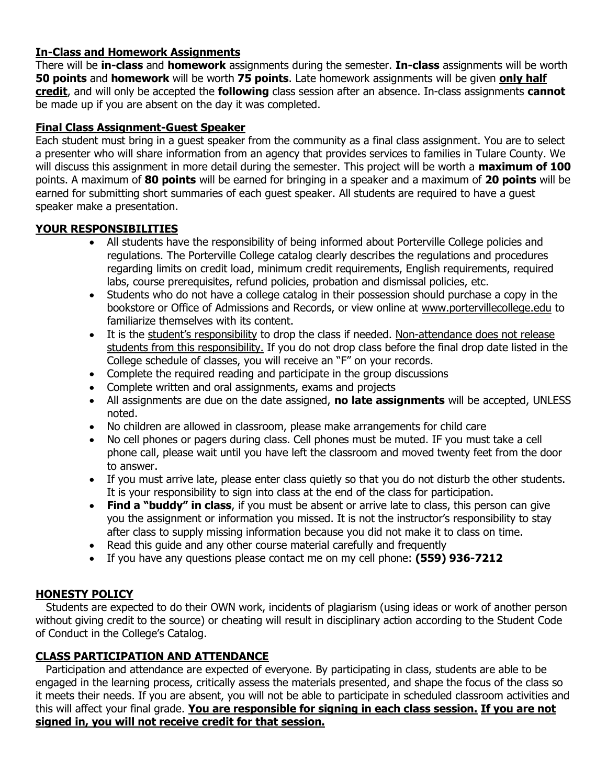### **In-Class and Homework Assignments**

There will be **in-class** and **homework** assignments during the semester. **In-class** assignments will be worth **50 points** and **homework** will be worth **75 points**. Late homework assignments will be given **only half credit**, and will only be accepted the **following** class session after an absence. In-class assignments **cannot**  be made up if you are absent on the day it was completed.

### **Final Class Assignment-Guest Speaker**

Each student must bring in a guest speaker from the community as a final class assignment. You are to select a presenter who will share information from an agency that provides services to families in Tulare County. We will discuss this assignment in more detail during the semester. This project will be worth a **maximum of 100** points. A maximum of **80 points** will be earned for bringing in a speaker and a maximum of **20 points** will be earned for submitting short summaries of each guest speaker. All students are required to have a guest speaker make a presentation.

#### **YOUR RESPONSIBILITIES**

- All students have the responsibility of being informed about Porterville College policies and regulations. The Porterville College catalog clearly describes the regulations and procedures regarding limits on credit load, minimum credit requirements, English requirements, required labs, course prerequisites, refund policies, probation and dismissal policies, etc.
- Students who do not have a college catalog in their possession should purchase a copy in the bookstore or Office of Admissions and Records, or view online at [www.portervillecollege.edu](http://www.portervillecollege.edu/) to familiarize themselves with its content.
- It is the student's responsibility to drop the class if needed. Non-attendance does not release students from this responsibility. If you do not drop class before the final drop date listed in the College schedule of classes, you will receive an "F" on your records.
- Complete the required reading and participate in the group discussions
- Complete written and oral assignments, exams and projects
- All assignments are due on the date assigned, **no late assignments** will be accepted, UNLESS noted.
- No children are allowed in classroom, please make arrangements for child care
- No cell phones or pagers during class. Cell phones must be muted. IF you must take a cell phone call, please wait until you have left the classroom and moved twenty feet from the door to answer.
- If you must arrive late, please enter class quietly so that you do not disturb the other students. It is your responsibility to sign into class at the end of the class for participation.
- **Find a "buddy" in class**, if you must be absent or arrive late to class, this person can give you the assignment or information you missed. It is not the instructor's responsibility to stay after class to supply missing information because you did not make it to class on time.
- Read this quide and any other course material carefully and frequently
- If you have any questions please contact me on my cell phone: **(559) 936-7212**

### **HONESTY POLICY**

 Students are expected to do their OWN work, incidents of plagiarism (using ideas or work of another person without giving credit to the source) or cheating will result in disciplinary action according to the Student Code of Conduct in the College's Catalog.

### **CLASS PARTICIPATION AND ATTENDANCE**

 Participation and attendance are expected of everyone. By participating in class, students are able to be engaged in the learning process, critically assess the materials presented, and shape the focus of the class so it meets their needs. If you are absent, you will not be able to participate in scheduled classroom activities and this will affect your final grade. **You are responsible for signing in each class session. If you are not signed in, you will not receive credit for that session.**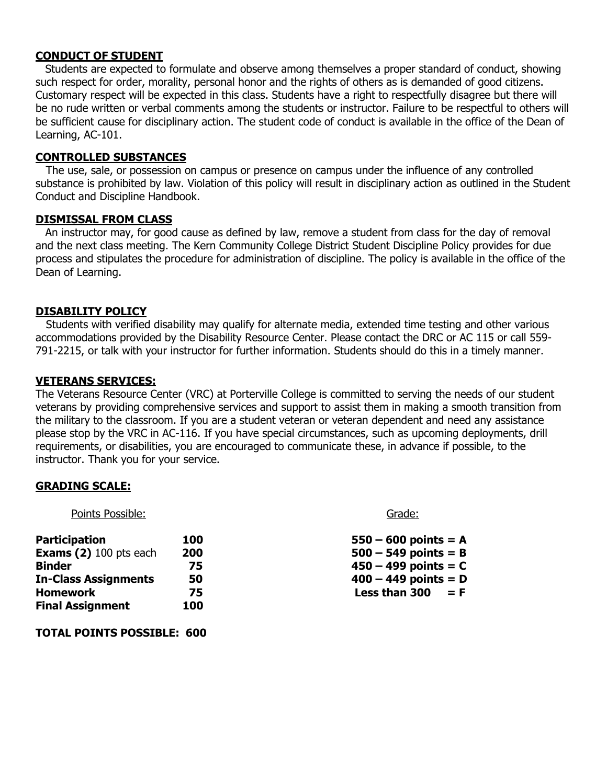#### **CONDUCT OF STUDENT**

Students are expected to formulate and observe among themselves a proper standard of conduct, showing such respect for order, morality, personal honor and the rights of others as is demanded of good citizens. Customary respect will be expected in this class. Students have a right to respectfully disagree but there will be no rude written or verbal comments among the students or instructor. Failure to be respectful to others will be sufficient cause for disciplinary action. The student code of conduct is available in the office of the Dean of Learning, AC-101.

#### **CONTROLLED SUBSTANCES**

 The use, sale, or possession on campus or presence on campus under the influence of any controlled substance is prohibited by law. Violation of this policy will result in disciplinary action as outlined in the Student Conduct and Discipline Handbook.

#### **DISMISSAL FROM CLASS**

An instructor may, for good cause as defined by law, remove a student from class for the day of removal and the next class meeting. The Kern Community College District Student Discipline Policy provides for due process and stipulates the procedure for administration of discipline. The policy is available in the office of the Dean of Learning.

#### **DISABILITY POLICY**

 Students with verified disability may qualify for alternate media, extended time testing and other various accommodations provided by the Disability Resource Center. Please contact the DRC or AC 115 or call 559- 791-2215, or talk with your instructor for further information. Students should do this in a timely manner.

#### **VETERANS SERVICES:**

The Veterans Resource Center (VRC) at Porterville College is committed to serving the needs of our student veterans by providing comprehensive services and support to assist them in making a smooth transition from the military to the classroom. If you are a student veteran or veteran dependent and need any assistance please stop by the VRC in AC-116. If you have special circumstances, such as upcoming deployments, drill requirements, or disabilities, you are encouraged to communicate these, in advance if possible, to the instructor. Thank you for your service.

#### **GRADING SCALE:**

Points Possible: Grade: Grade: Grade: Grade: Grade: Grade: Grade: Grade: Grade: Grade: Grade: Grade: Grade: Grade: Grade: Grade: Grade: Grade: Grade: Grade: Grade: Grade: Grade: Grade: Grade: Grade: Grade: Grade: Grade: Gr

| <b>Participation</b>          | 100 | $550 - 600$ points = A |
|-------------------------------|-----|------------------------|
| <b>Exams (2)</b> 100 pts each | 200 | $500 - 549$ points = B |
| <b>Binder</b>                 | 75  | $450 - 499$ points = C |
| <b>In-Class Assignments</b>   | 50  | $400 - 449$ points = D |
| <b>Homework</b>               | 75  | Less than 300<br>$=$ F |
| <b>Final Assignment</b>       | 100 |                        |

| $50 - 600$ points = A      |  |  |
|----------------------------|--|--|
| 00 – 549 points = B        |  |  |
| $50 - 499$ points = C      |  |  |
| 00 – 449 points = D        |  |  |
| ess than 300 $\,$ = F $\,$ |  |  |

**TOTAL POINTS POSSIBLE: 600**